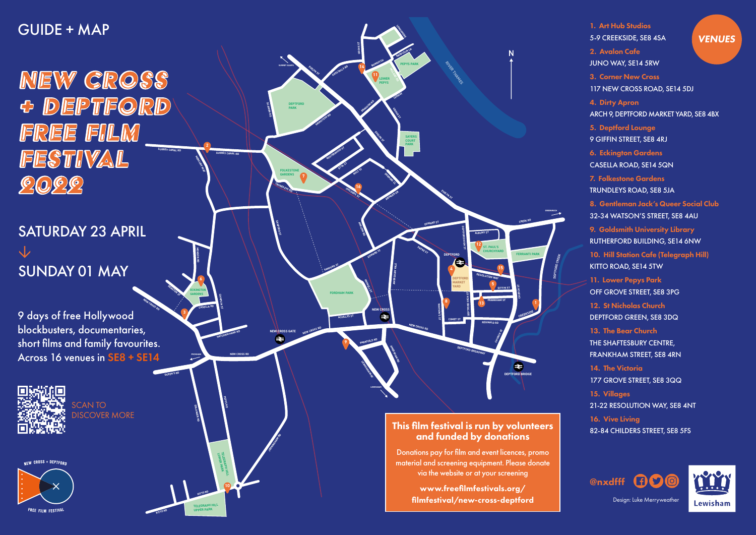**DEPTFORD BRIDGE**

 $\bullet$ 

**DEPTFORD**

**NEW CROSS**

**NEW CROSS GATE**

**JERNINGHAM RD** 

**COMET ST**

**DEPTFORD MARKET YARD**

 $\overline{\blacktriangle}$ 

**EDWARD ST**

**PAYNE ST** 

**ACHILLES ST**<br>ACHILLES ST

**GARDENS CASELLA RD**

**EDWARD ST**

**ARKLOW RD** 

**CHILDERS ST** 

**AMERSHAM VALE**

**WATSON'S ST**

**DEPTFORD HIGH ST**

**DEPTFORD HIGH ST**

**REGINALD RD**

**CHURCH ST**

**ALBUNY ST**

**ABINGER GR**

**GOSTERWOOD ST**

**OXESTALLS RD** 

GRINSTEAD RD

**ETTA ST**

**ROLT ST**

**DORKING CL**

**GROVE** 

**FORDHAM PARK**

**SANFORD ST**

**FOLKESTONE GARDENS**

**DEPTFORD PARK**

**PEPYS PARK**

**LONGSHORE** 

**ST. PAUL'S** 

**CHURCHYARD FERRANTI PARK**

**TELEGRAPH HILL LOWER PARK**

**TELEGRAPH HILL UPPER PARK**

**PEPYS RD**

**QUEEN'S RD**

**NEW CROSS RD**

**PECKHAM**

**LEWISHAM**

**LEWISH CONTROL** 

**CREEK RD**

**GREENWICH** 

**EVELYN ST**

**RIVER THAMES** 

**SAYERS COURT PARK**

**LEEWAY**

**MILLARD RD** 

**GROVE ST**

**EVELYN ST**

**SANFORD ST** 

**LOWER PEPYS**

**EVELYN ST** 

**BOWDITCH** 

**BARFLEUR LN**

**SCAWEN RD**

**SURREY CANAL RD**

**MERCURY WAY** 

**TRUNDLEYS RD**

**SURREY QUAYS**

**AMERSHAM RD**

**PARKFIELD RD**

PAGNEL ST

**KITTO RD**

**ERLANGER RD** 

**KITTO RD**

**ECKINGTON** 

**REASTON ST**

**MONSON RD**

**HATCHAM PARK RD**

**2**

**NEW CROSS RD** 9 days of free Hollywood blockbusters, documentaries, short films and family favourites. Across 16 venues in SE8 + SE14

**3**



**4**

**5**

**7**

**8**

**12**

**13**

**CHURCH ST** 

**14**

**15**

**16**

**10**

**11**

**DRAGOON RD** 

**9**

**6**

This film festival is run by volunteers and funded by donations

Donations pay for film and event licences, promo material and screening equipment. Please donate via the website or at your screening

> www.freefilmfestivals.org/ filmfestival/new-cross-deptford

1. Art Hub Studios 5-9 CREEKSIDE, SE8 4SA 2. Avalon Cafe JUNO WAY, SE14 5RW 3. Corner New Cross 117 NEW CROSS ROAD, SE14 5DJ 4. Dirty Apron ARCH 9, DEPTFORD MARKET YARD, SE8 4BX 5. Deptford Lounge 9 GIFFIN STREET, SE8 4RJ 6. Eckington Gardens CASELLA ROAD, SE14 5QN 7. Folkestone Gardens TRUNDLEYS ROAD, SE8 5JA 8. Gentleman Jack's Queer Social Club 32-34 WATSON'S STREET, SE8 4AU 9. Goldsmith University Library RUTHERFORD BUILDING, SE14 6NW 10. Hill Station Cafe (Telegraph Hill) KITTO ROAD, SE14 5TW 11. Lower Pepys Park OFF GROVE STREET, SE8 3PG 12. St Nicholas Church DEPTFORD GREEN, SE8 3DQ 13. The Bear Church THE SHAFTESBURY CENTRE, FRANKHAM STREET, SE8 4RN 14. The Victoria 177 GROVE STREET, SE8 3QQ 15. Villages 21-22 RESOLUTION WAY, SE8 4NT 16. Vive Living 82-84 CHILDERS STREET, SE8 5FS **VENUES** 



Design: Luke Merryweather



## GUIDE + MAP

NEW CROSS & DEPTFORD **FREE FILM FESTIVAL SURREY CANAL RD**  $0.009$ 

# SATURDAY 23 APRIL **↓** SUNDAY 01 MAY

SCAN TO DISCOVER MORE

**NEW CROSS + DEPTFOR**